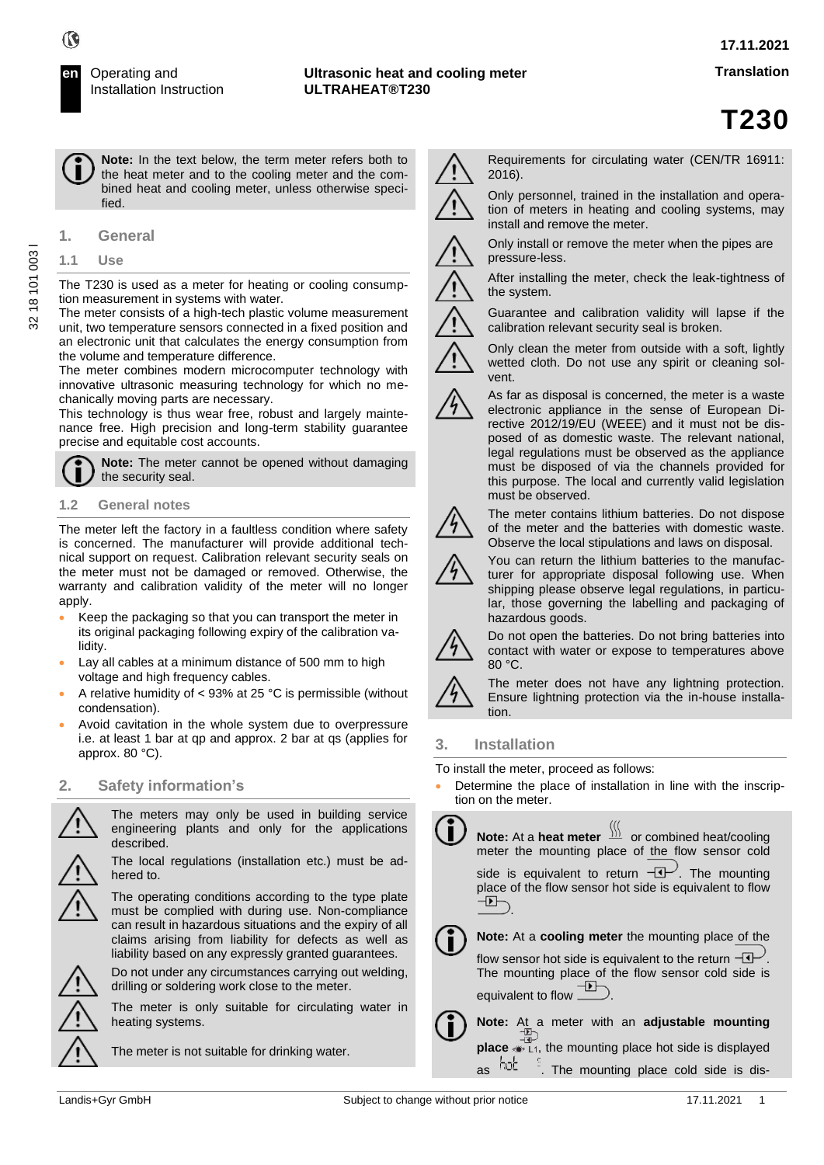**Note:** In the text below, the term meter refers both to the heat meter and to the cooling meter and the combined heat and cooling meter, unless otherwise specified.

## **1.1 Use**

The T230 is used as a meter for heating or cooling consumption measurement in systems with water.

The meter consists of a high-tech plastic volume measurement unit, two temperature sensors connected in a fixed position and an electronic unit that calculates the energy consumption from the volume and temperature difference.

The meter combines modern microcomputer technology with innovative ultrasonic measuring technology for which no mechanically moving parts are necessary.

This technology is thus wear free, robust and largely maintenance free. High precision and long-term stability guarantee precise and equitable cost accounts.

**Note:** The meter cannot be opened without damaging the security seal.

# **1.2 General notes**

The meter left the factory in a faultless condition where safety is concerned. The manufacturer will provide additional technical support on request. Calibration relevant security seals on the meter must not be damaged or removed. Otherwise, the warranty and calibration validity of the meter will no longer apply.

- Keep the packaging so that you can transport the meter in its original packaging following expiry of the calibration validity.
- Lay all cables at a minimum distance of 500 mm to high voltage and high frequency cables.
- A relative humidity of  $<$  93% at 25 °C is permissible (without condensation).
- Avoid cavitation in the whole system due to overpressure i.e. at least 1 bar at qp and approx. 2 bar at qs (applies for approx. 80 °C).

# **2. Safety information's**



The meters may only be used in building service engineering plants and only for the applications described.

The local regulations (installation etc.) must be adhered to.



Do not under any circumstances carrying out welding, drilling or soldering work close to the meter.

The meter is only suitable for circulating water in heating systems.



Requirements for circulating water (CEN/TR 16911: 2016).

Only personnel, trained in the installation and opera-



tion of meters in heating and cooling systems, may install and remove the meter.



Only install or remove the meter when the pipes are pressure-less.

After installing the meter, check the leak-tightness of the system.

Guarantee and calibration validity will lapse if the calibration relevant security seal is broken.

Only clean the meter from outside with a soft, lightly wetted cloth. Do not use any spirit or cleaning solvent.



As far as disposal is concerned, the meter is a waste electronic appliance in the sense of European Directive 2012/19/EU (WEEE) and it must not be disposed of as domestic waste. The relevant national, legal regulations must be observed as the appliance must be disposed of via the channels provided for this purpose. The local and currently valid legislation must be observed.



The meter contains lithium batteries. Do not dispose of the meter and the batteries with domestic waste. Observe the local stipulations and laws on disposal.



You can return the lithium batteries to the manufacturer for appropriate disposal following use. When shipping please observe legal regulations, in particular, those governing the labelling and packaging of



Do not open the batteries. Do not bring batteries into contact with water or expose to temperatures above 80 °C.



The meter does not have any lightning protection. Ensure lightning protection via the in-house installation.

# **3. Installation**

To install the meter, proceed as follows:

hazardous goods.

Determine the place of installation in line with the inscription on the meter.



**Note:** At a meter with an **adjustable mounting place**  $\overline{+D}$ <br>**place**  $\bullet$  L<sub>1</sub>, the mounting place hot side is displayed as  $\frac{h_0}{h_1}$   $\frac{1}{h_1}$ . The mounting place cold side is dis-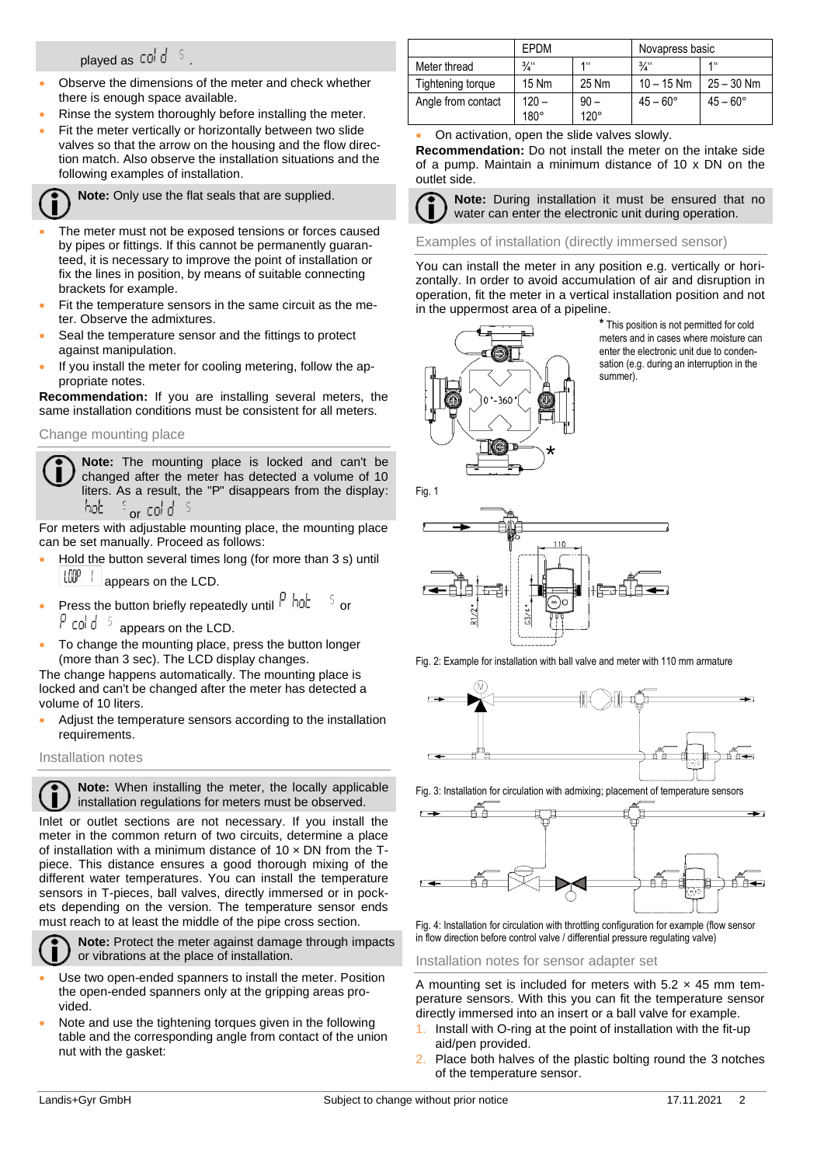# played as  $\cot d^{-5}$

- Observe the dimensions of the meter and check whether there is enough space available.
- Rinse the system thoroughly before installing the meter.
- Fit the meter vertically or horizontally between two slide valves so that the arrow on the housing and the flow direction match. Also observe the installation situations and the following examples of installation.

**Note:** Only use the flat seals that are supplied.

- The meter must not be exposed tensions or forces caused by pipes or fittings. If this cannot be permanently guaranteed, it is necessary to improve the point of installation or fix the lines in position, by means of suitable connecting brackets for example.
- Fit the temperature sensors in the same circuit as the meter. Observe the admixtures.
- Seal the temperature sensor and the fittings to protect against manipulation.
- If you install the meter for cooling metering, follow the appropriate notes.

**Recommendation:** If you are installing several meters, the same installation conditions must be consistent for all meters.

Change mounting place

**Note:** The mounting place is locked and can't be changed after the meter has detected a volume of 10 liters. As a result, the "P" disappears from the display: hob  $\frac{1}{2}$  or cold  $\frac{5}{2}$ 

For meters with adjustable mounting place, the mounting place can be set manually. Proceed as follows:

- Hold the button several times long (for more than 3 s) until  $\frac{100^{\circ} + 1}{100^{\circ}}$  appears on the LCD.
- Press the button briefly repeatedly until  $\frac{\rho}{\rho}$  hat  $\frac{\epsilon}{\rho}$  or
	- $P$  cold  $\frac{1}{2}$  appears on the LCD.
- To change the mounting place, press the button longer (more than 3 sec). The LCD display changes.

The change happens automatically. The mounting place is locked and can't be changed after the meter has detected a volume of 10 liters.

• Adjust the temperature sensors according to the installation requirements.

Installation notes

**Note:** When installing the meter, the locally applicable U installation regulations for meters must be observed.

Inlet or outlet sections are not necessary. If you install the meter in the common return of two circuits, determine a place of installation with a minimum distance of  $10 \times DN$  from the Tpiece. This distance ensures a good thorough mixing of the different water temperatures. You can install the temperature sensors in T-pieces, ball valves, directly immersed or in pockets depending on the version. The temperature sensor ends must reach to at least the middle of the pipe cross section.



**Note:** Protect the meter against damage through impacts or vibrations at the place of installation.

- Use two open-ended spanners to install the meter. Position the open-ended spanners only at the gripping areas provided.
- Note and use the tightening torques given in the following table and the corresponding angle from contact of the union nut with the gasket:

|                    | EPDM            |                      | Novapress basic   |                   |  |
|--------------------|-----------------|----------------------|-------------------|-------------------|--|
| Meter thread       | $\frac{3}{4}$   | $1$ <sup>11</sup>    | $\frac{3}{4}$     | $1$ <sup>11</sup> |  |
| Tightening torque  | 15 Nm           | 25 Nm                | $10 - 15$ Nm      | $25 - 30$ Nm      |  |
| Angle from contact | $120 -$<br>180° | $90-$<br>$120^\circ$ | $45 - 60^{\circ}$ | $45 - 60^{\circ}$ |  |

• On activation, open the slide valves slowly.

**Recommendation:** Do not install the meter on the intake side of a pump. Maintain a minimum distance of 10 x DN on the outlet side.

**Note:** During installation it must be ensured that no water can enter the electronic unit during operation.

Examples of installation (directly immersed sensor)

You can install the meter in any position e.g. vertically or horizontally. In order to avoid accumulation of air and disruption in operation, fit the meter in a vertical installation position and not in the uppermost area of a pipeline.



**\*** This position is not permitted for cold meters and in cases where moisture can enter the electronic unit due to condensation (e.g. during an interruption in the summer).



Fig. 2: Example for installation with ball valve and meter with 110 mm armature



Fig. 3: Installation for circulation with admixing; placement of temperature sensors



Fig. 4: Installation for circulation with throttling configuration for example (flow sensor in flow direction before control valve / differential pressure regulating valve)

Installation notes for sensor adapter set

A mounting set is included for meters with  $5.2 \times 45$  mm temperature sensors. With this you can fit the temperature sensor directly immersed into an insert or a ball valve for example.

- Install with O-ring at the point of installation with the fit-up aid/pen provided.
- Place both halves of the plastic bolting round the 3 notches of the temperature sensor.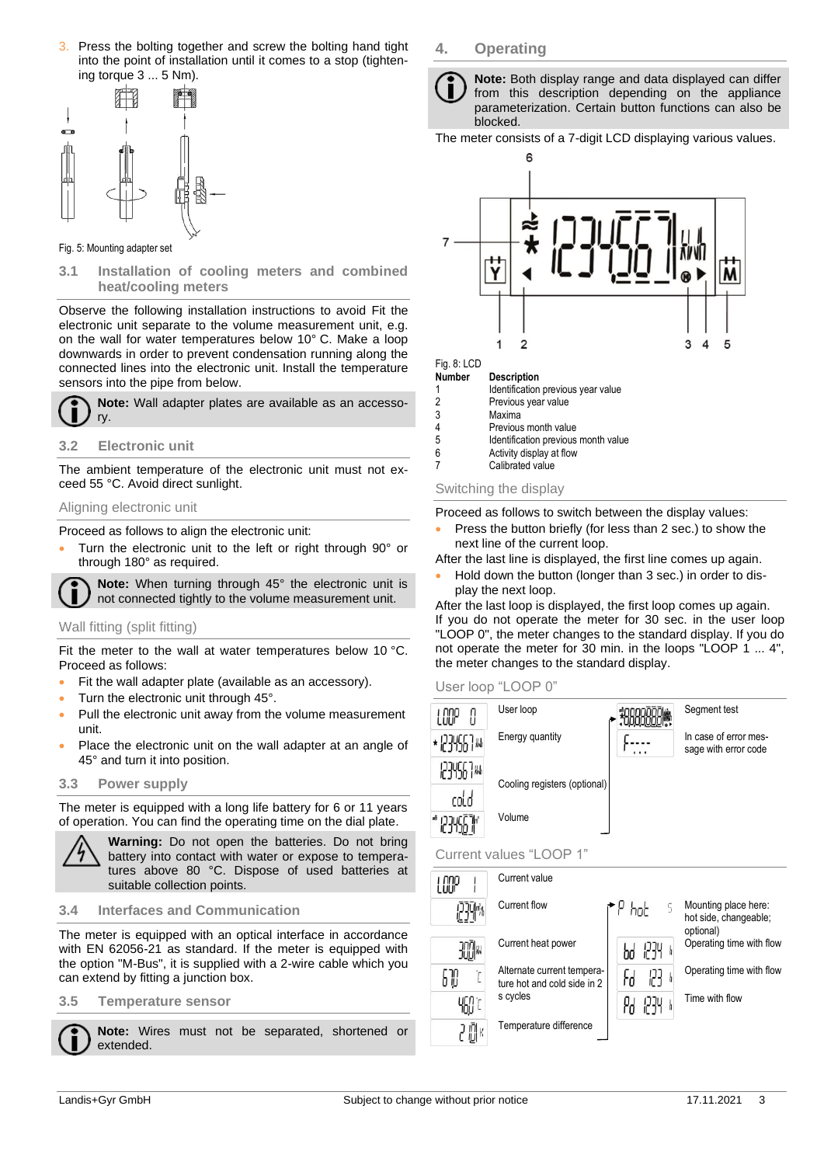3. Press the bolting together and screw the bolting hand tight into the point of installation until it comes to a stop (tightening torque 3 ... 5 Nm).



#### Fig. 5: Mounting adapter set

**3.1 Installation of cooling meters and combined heat/cooling meters** 

Observe the following installation instructions to avoid Fit the electronic unit separate to the volume measurement unit, e.g. on the wall for water temperatures below 10° C. Make a loop downwards in order to prevent condensation running along the connected lines into the electronic unit. Install the temperature sensors into the pipe from below.

**Note:** Wall adapter plates are available as an accessory.

#### **3.2 Electronic unit**

The ambient temperature of the electronic unit must not exceed 55 °C. Avoid direct sunlight.

#### Aligning electronic unit

Proceed as follows to align the electronic unit:

• Turn the electronic unit to the left or right through 90° or through 180° as required.

**Note:** When turning through 45° the electronic unit is not connected tightly to the volume measurement unit.

# Wall fitting (split fitting)

Fit the meter to the wall at water temperatures below 10 °C. Proceed as follows:

- Fit the wall adapter plate (available as an accessory).
- Turn the electronic unit through 45°.
- Pull the electronic unit away from the volume measurement unit.
- Place the electronic unit on the wall adapter at an angle of 45° and turn it into position.

#### **3.3 Power supply**

The meter is equipped with a long life battery for 6 or 11 years of operation. You can find the operating time on the dial plate.



**Warning:** Do not open the batteries. Do not bring battery into contact with water or expose to temperatures above 80 °C. Dispose of used batteries at suitable collection points.

#### **3.4 Interfaces and Communication**

The meter is equipped with an optical interface in accordance with EN 62056-21 as standard. If the meter is equipped with the option "M-Bus", it is supplied with a 2-wire cable which you can extend by fitting a junction box.

## **3.5 Temperature sensor**

**Note:** Wires must not be separated, shortened or extended.

# **4. Operating**

**Note:** Both display range and data displayed can differ from this description depending on the appliance parameterization. Certain button functions can also be blocked.

The meter consists of a 7-digit LCD displaying various values.



# Fig. 8: LCD<br>Number

**Description** 

- 1 Identification previous year value<br>2 Previous vear value
- 2 Previous year value
- 3 Maxima<br>4 Previou
- 4 Previous month value<br>5 **Identification previous** Identification previous month value
- 6 **Activity display at flow**<br>7 **Calibrated value**
- Calibrated value

#### Switching the display

Proceed as follows to switch between the display values:

Press the button briefly (for less than 2 sec.) to show the next line of the current loop.

After the last line is displayed, the first line comes up again.

• Hold down the button (longer than 3 sec.) in order to display the next loop.

After the last loop is displayed, the first loop comes up again. If you do not operate the meter for 30 sec. in the user loop "LOOP 0", the meter changes to the standard display. If you do not operate the meter for 30 min. in the loops "LOOP 1 ... 4", the meter changes to the standard display.

User loop "LOOP 0"

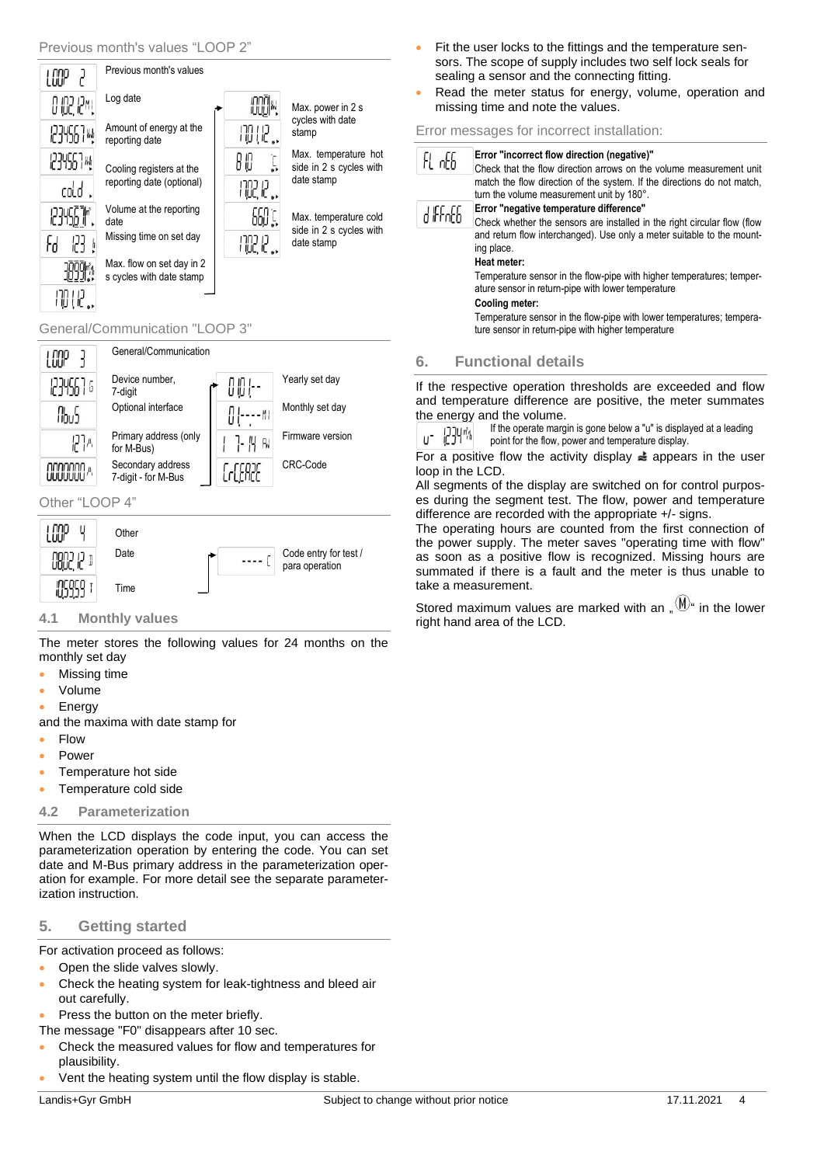

# General/Communication "LOOP 3"



# Other "LOOP 4"



# **4.1 Monthly values**

The meter stores the following values for 24 months on the monthly set day

- **Missing time**
- Volume
- **Energy**

and the maxima with date stamp for

- Flow
- Power
- Temperature hot side
- Temperature cold side

# **4.2 Parameterization**

When the LCD displays the code input, you can access the parameterization operation by entering the code. You can set date and M-Bus primary address in the parameterization operation for example. For more detail see the separate parameterization instruction.

# **5. Getting started**

For activation proceed as follows:

- Open the slide valves slowly.
- Check the heating system for leak-tightness and bleed air out carefully.
- Press the button on the meter briefly.
- The message "F0" disappears after 10 sec.
- Check the measured values for flow and temperatures for plausibility.
- Vent the heating system until the flow display is stable.

Landis+Gyr GmbH Subject to change without prior notice 17.11.2021 4

- Fit the user locks to the fittings and the temperature sensors. The scope of supply includes two self lock seals for sealing a sensor and the connecting fitting.
- Read the meter status for energy, volume, operation and missing time and note the values.

## Error messages for incorrect installation:

| FL 0E6  | Error "incorrect flow direction (negative)"<br>Check that the flow direction arrows on the volume measurement unit                                                              |
|---------|---------------------------------------------------------------------------------------------------------------------------------------------------------------------------------|
|         | match the flow direction of the system. If the directions do not match,<br>turn the volume measurement unit by 180°.                                                            |
| 4 FFoFF | Error "negative temperature difference"                                                                                                                                         |
|         | Check whether the sensors are installed in the right circular flow (flow<br>and return flow interchanged). Use only a meter suitable to the mount-<br>ing place.<br>Heat meter: |
|         | Temperature sensor in the flow-pipe with higher temperatures; temper-<br>ature sensor in return-pipe with lower temperature<br>Cooling meter:                                   |
|         | Temperature sensor in the flow-pipe with lower temperatures; tempera-<br>ture sensor in return-pipe with higher temperature                                                     |
|         | <b>Functional details</b>                                                                                                                                                       |

If the respective operation thresholds are exceeded and flow and temperature difference are positive, the meter summates the energy and the volume.

If the operate margin is gone below a "u" is displayed at a leading u- 1234™ point for the flow, power and temperature display.

For a positive flow the activity display  $\triangleq$  appears in the user loop in the LCD.

All segments of the display are switched on for control purposes during the segment test. The flow, power and temperature difference are recorded with the appropriate +/- signs.

The operating hours are counted from the first connection of the power supply. The meter saves "operating time with flow" as soon as a positive flow is recognized. Missing hours are summated if there is a fault and the meter is thus unable to take a measurement.

Stored maximum values are marked with an  $\mathbb{M}^{\mathbb{N}}$  in the lower right hand area of the LCD.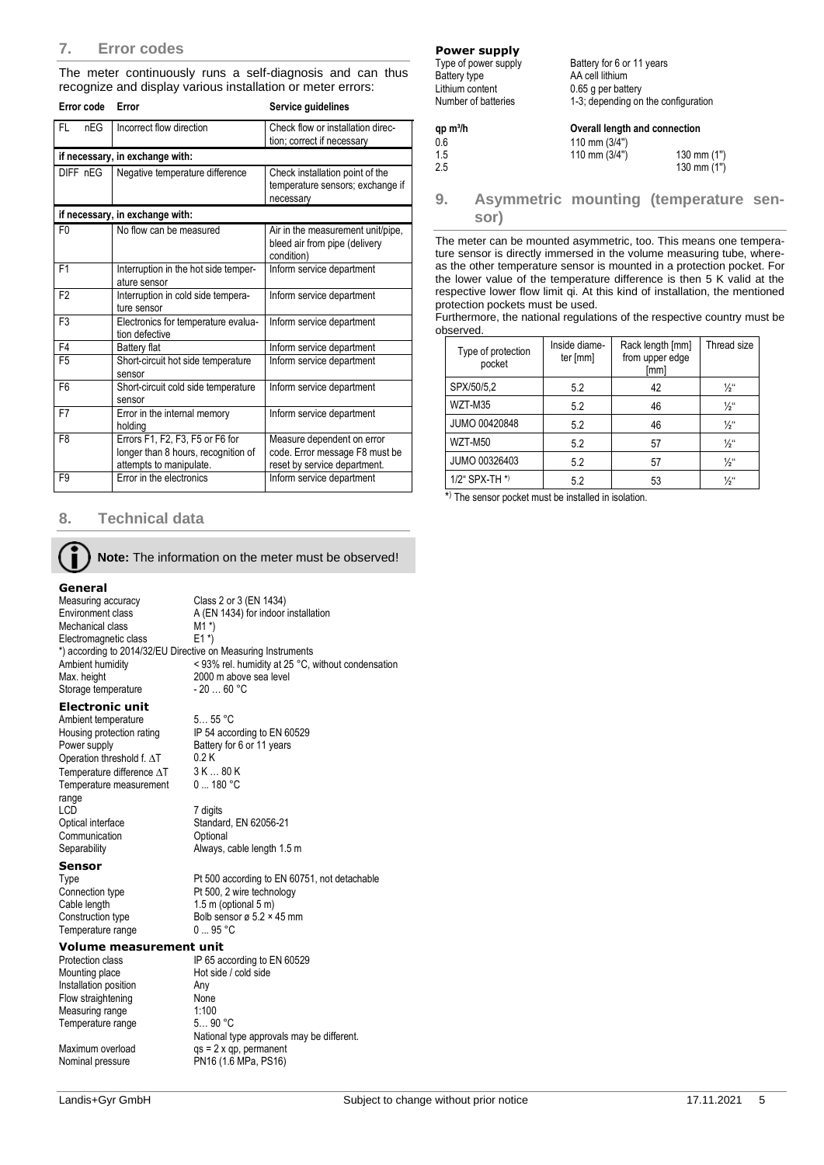The meter continuously runs a self-diagnosis and can thus recognize and display various installation or meter errors:

| Error code       | Error                                                                                             | Service guidelines                                                                           |
|------------------|---------------------------------------------------------------------------------------------------|----------------------------------------------------------------------------------------------|
| <b>FL</b><br>nEG | Incorrect flow direction                                                                          | Check flow or installation direc-<br>tion; correct if necessary                              |
|                  | if necessary, in exchange with:                                                                   |                                                                                              |
| DIFF nEG         | Negative temperature difference                                                                   | Check installation point of the<br>temperature sensors; exchange if<br>necessary             |
|                  | if necessary, in exchange with:                                                                   |                                                                                              |
| F <sub>0</sub>   | No flow can be measured                                                                           | Air in the measurement unit/pipe,<br>bleed air from pipe (delivery<br>condition)             |
| F <sub>1</sub>   | Interruption in the hot side temper-<br>ature sensor                                              | Inform service department                                                                    |
| F <sub>2</sub>   | Interruption in cold side tempera-<br>ture sensor                                                 | Inform service department                                                                    |
| F <sub>3</sub>   | Electronics for temperature evalua-<br>tion defective                                             | Inform service department                                                                    |
| F <sub>4</sub>   | Battery flat                                                                                      | Inform service department                                                                    |
| F <sub>5</sub>   | Short-circuit hot side temperature<br>sensor                                                      | Inform service department                                                                    |
| F <sub>6</sub>   | Short-circuit cold side temperature<br>sensor                                                     | Inform service department                                                                    |
| F7               | Error in the internal memory<br>holding                                                           | Inform service department                                                                    |
| F <sub>8</sub>   | Errors F1, F2, F3, F5 or F6 for<br>longer than 8 hours, recognition of<br>attempts to manipulate. | Measure dependent on error<br>code. Error message F8 must be<br>reset by service department. |
| F <sub>9</sub>   | Error in the electronics                                                                          | Inform service department                                                                    |

# **8. Technical data**

**Note:** The information on the meter must be observed!

**General**<br>Measuring accuracy Measuring accuracy Class 2 or 3 (EN 1434)<br>Environment class A (EN 1434) for indoor A (EN 1434) for indoor installation M1  $*$ ) Mechanical class M1<sup>\*</sup>)<br>Electromagnetic class E1<sup>\*</sup>) Electromagnetic class \*) according to 2014/32/EU Directive on Measuring Instruments Ambient humidity  $\leq 93\%$  rel. humidity at 25 °C, without condensation<br>Max. height 2000 m above sea level 2000 m above sea level<br>- 20 ... 60 °C Storage temperature

Battery for 6 or 11 years<br>0.2 K

Standard, EN 62056-21

0 ... 180 °C

#### **Electronic unit**

Ambient temperature 5... 55 °C<br>Housing protection rating IP 54 acco Housing protection rating IP 54 according to EN 60529<br>Power supply Battery for 6 or 11 years Operation threshold f.  $\Delta T$  0.2 K<br>Temperature difference  $\Delta T$  3 K ... 80 K Temperature difference  $\Delta T$ Temperature measurement range<br>LCD LCD 7 digits<br>Optical interface 7 Standar Communication **Optional** Separability **Always**, cable length 1.5 m

#### **Sensor**

Type Pt 500 according to EN 60751, not detachable<br>
Connection type Pt 500, 2 wire technology Temperature range

# **Volume measurement unit**<br>Protection class IP 65 ac

Installation position **Any** Flow straightening None<br>Measuring range 1:100 Measuring range 1:100<br>Temperature range 5... 90 °C Temperature range

Maximum overload example qs = 2 x qp, permanent Nominal pressure PN16 (1.6 MPa, PS16)

Connection type Pt 500, 2 wire technology<br>Cable length 1.5 m (optional 5 m) Cable length 1.5 m (optional 5 m)<br>Construction type Bolb sensor ø 5.2 × Bolb sensor ø 5.2  $\times$  45 mm<br>0 ... 95 °C Protection class IP 65 according to EN 60529<br>Mounting place Hot side / cold side Hot side / cold side National type approvals may be different.

**Power supply**

| Type of power supply | Battery for 6 or 11 years           |
|----------------------|-------------------------------------|
| Battery type         | AA cell lithium                     |
| Lithium content      | 0.65 g per battery                  |
| Number of batteries  | 1-3; depending on the configuration |
| $qp \, m^3/h$        | Overall length and connection       |
| 0.6                  | 110 mm $(3/4")$                     |

| qp m <sup>3</sup> /h | Overall length and connection |             |  |  |
|----------------------|-------------------------------|-------------|--|--|
| 0.6                  | 110 mm $(3/4")$               |             |  |  |
| 1.5                  | 110 mm $(3/4")$               | 130 mm (1") |  |  |
| 2.5                  |                               | 130 mm (1") |  |  |

# **9. Asymmetric mounting (temperature sensor)**

The meter can be mounted asymmetric, too. This means one temperature sensor is directly immersed in the volume measuring tube, whereas the other temperature sensor is mounted in a protection pocket. For the lower value of the temperature difference is then 5 K valid at the respective lower flow limit qi. At this kind of installation, the mentioned protection pockets must be used.

Furthermore, the national regulations of the respective country must be observed.

| Type of protection<br>pocket | Inside diame-<br>ter [mm] | Rack length [mm]<br>from upper edge<br>[mm] | Thread size     |
|------------------------------|---------------------------|---------------------------------------------|-----------------|
| SPX/50/5,2                   | 5.2                       | 42                                          | $\frac{1}{2}$ " |
| WZT-M35                      | 5.2                       | 46                                          | $\frac{1}{2}$ " |
| JUMO 00420848                | 5.2                       | 46                                          | $\frac{1}{2}$ " |
| WZT-M50                      | 5.2                       | 57                                          | $\frac{1}{2}$ " |
| JUMO 00326403                | 5.2                       | 57                                          | $\frac{1}{2}$ " |
| 1/2" SPX-TH *)               | 5.2                       | 53                                          | $\frac{1}{2}$ " |

\* ) The sensor pocket must be installed in isolation.